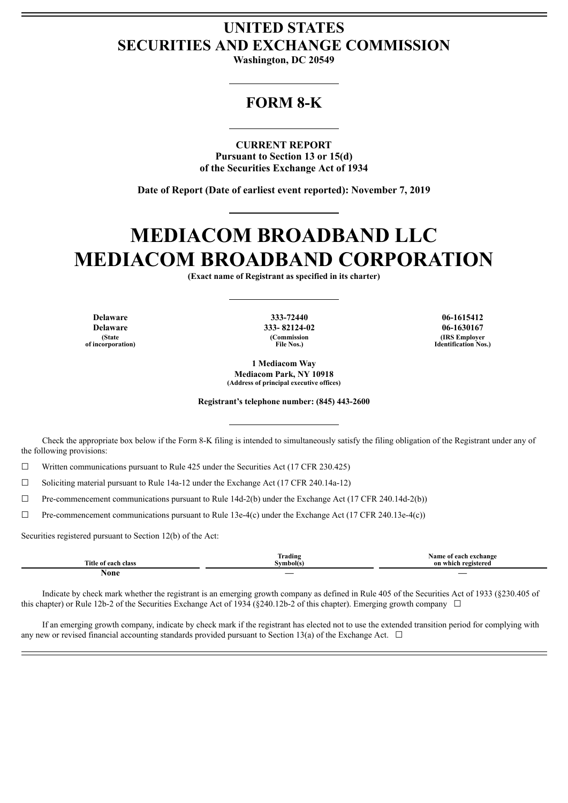# **UNITED STATES SECURITIES AND EXCHANGE COMMISSION**

**Washington, DC 20549**

# **FORM 8-K**

**CURRENT REPORT Pursuant to Section 13 or 15(d) of the Securities Exchange Act of 1934**

**Date of Report (Date of earliest event reported): November 7, 2019**

# **MEDIACOM BROADBAND LLC MEDIACOM BROADBAND CORPORATION**

**(Exact name of Registrant as specified in its charter)**

**Delaware Delaware (State of incorporation)**

**333-72440 333- 82124-02 (Commission File Nos.)**

**06-1615412 06-1630167 (IRS Employer Identification Nos.)**

**1 Mediacom Way Mediacom Park, NY 10918 (Address of principal executive offices)**

**Registrant's telephone number: (845) 443-2600**

Check the appropriate box below if the Form 8-K filing is intended to simultaneously satisfy the filing obligation of the Registrant under any of the following provisions:

 $\Box$  Written communications pursuant to Rule 425 under the Securities Act (17 CFR 230.425)

 $\Box$  Soliciting material pursuant to Rule 14a-12 under the Exchange Act (17 CFR 240.14a-12)

 $\Box$  Pre-commencement communications pursuant to Rule 14d-2(b) under the Exchange Act (17 CFR 240.14d-2(b))

 $\Box$  Pre-commencement communications pursuant to Rule 13e-4(c) under the Exchange Act (17 CFR 240.13e-4(c))

Securities registered pursuant to Section 12(b) of the Act:

|                       | $\sim$<br>$\sim$<br>lrading | Name o<br>each exchange ! |
|-----------------------|-----------------------------|---------------------------|
| <b>Title</b><br>clas: | Svmbol(s)                   | registered<br>on which    |
| $\alpha$ na<br>TAQILC |                             | $\overline{\phantom{a}}$  |

Indicate by check mark whether the registrant is an emerging growth company as defined in Rule 405 of the Securities Act of 1933 (§230.405 of this chapter) or Rule 12b-2 of the Securities Exchange Act of 1934 ( $\S$ 240.12b-2 of this chapter). Emerging growth company  $\Box$ 

If an emerging growth company, indicate by check mark if the registrant has elected not to use the extended transition period for complying with any new or revised financial accounting standards provided pursuant to Section 13(a) of the Exchange Act.  $\Box$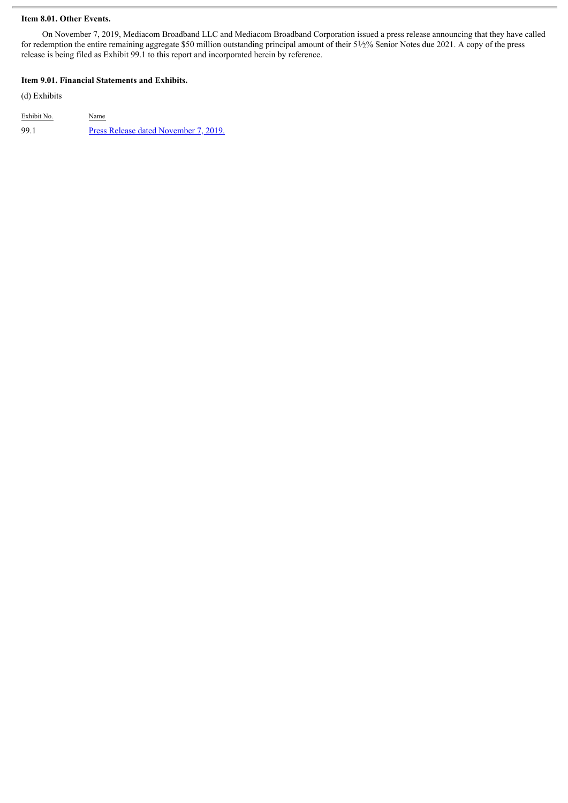### **Item 8.01. Other Events.**

On November 7, 2019, Mediacom Broadband LLC and Mediacom Broadband Corporation issued a press release announcing that they have called for redemption the entire remaining aggregate \$50 million outstanding principal amount of their 51⁄2% Senior Notes due 2021. A copy of the press release is being filed as Exhibit 99.1 to this report and incorporated herein by reference.

### **Item 9.01. Financial Statements and Exhibits.**

(d) Exhibits

Exhibit No. Name 99.1 Press Release dated [November](#page-3-0) 7, 2019.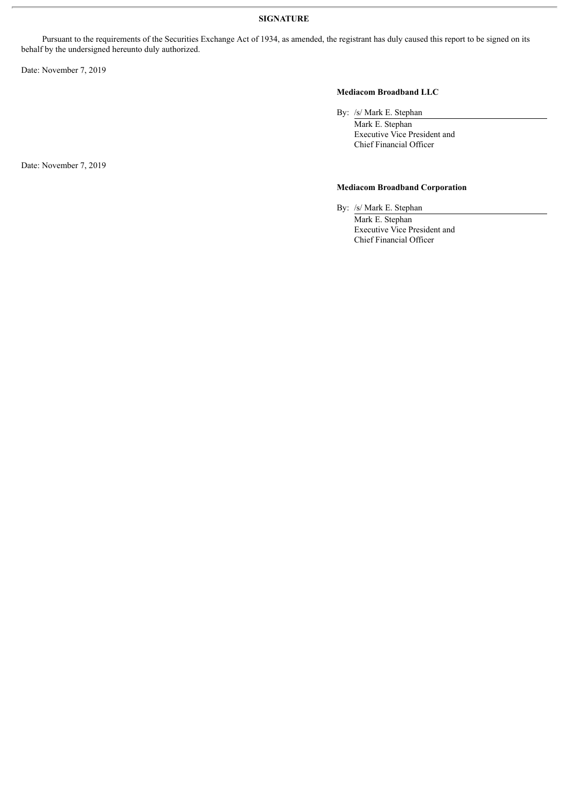Pursuant to the requirements of the Securities Exchange Act of 1934, as amended, the registrant has duly caused this report to be signed on its behalf by the undersigned hereunto duly authorized.

Date: November 7, 2019

# **Mediacom Broadband LLC**

By: /s/ Mark E. Stephan

Mark E. Stephan Executive Vice President and Chief Financial Officer

## **Mediacom Broadband Corporation**

By: /s/ Mark E. Stephan Mark E. Stephan Executive Vice President and Chief Financial Officer

Date: November 7, 2019